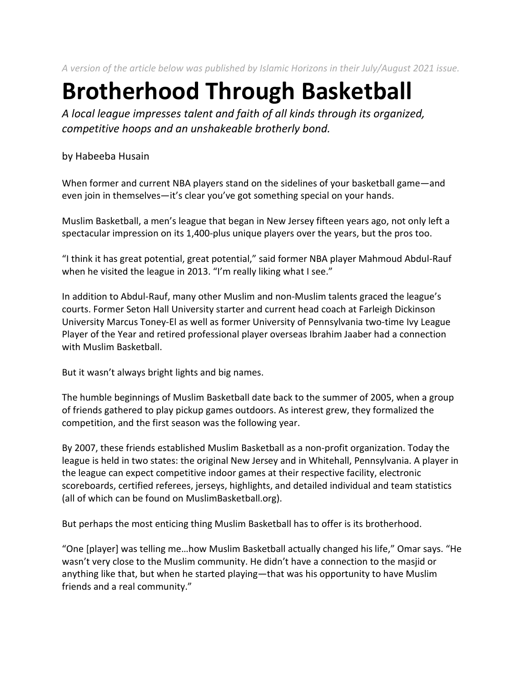*A version of the article below was published by Islamic Horizons in their July/August 2021 issue.*

## **Brotherhood Through Basketball**

*A local league impresses talent and faith of all kinds through its organized, competitive hoops and an unshakeable brotherly bond.* 

by Habeeba Husain

When former and current NBA players stand on the sidelines of your basketball game—and even join in themselves—it's clear you've got something special on your hands.

Muslim Basketball, a men's league that began in New Jersey fifteen years ago, not only left a spectacular impression on its 1,400-plus unique players over the years, but the pros too.

"I think it has great potential, great potential," said former NBA player Mahmoud Abdul-Rauf when he visited the league in 2013. "I'm really liking what I see."

In addition to Abdul-Rauf, many other Muslim and non-Muslim talents graced the league's courts. Former Seton Hall University starter and current head coach at Farleigh Dickinson University Marcus Toney-El as well as former University of Pennsylvania two-time Ivy League Player of the Year and retired professional player overseas Ibrahim Jaaber had a connection with Muslim Basketball.

But it wasn't always bright lights and big names.

The humble beginnings of Muslim Basketball date back to the summer of 2005, when a group of friends gathered to play pickup games outdoors. As interest grew, they formalized the competition, and the first season was the following year.

By 2007, these friends established Muslim Basketball as a non-profit organization. Today the league is held in two states: the original New Jersey and in Whitehall, Pennsylvania. A player in the league can expect competitive indoor games at their respective facility, electronic scoreboards, certified referees, jerseys, highlights, and detailed individual and team statistics (all of which can be found on MuslimBasketball.org).

But perhaps the most enticing thing Muslim Basketball has to offer is its brotherhood.

"One [player] was telling me…how Muslim Basketball actually changed his life," Omar says. "He wasn't very close to the Muslim community. He didn't have a connection to the masjid or anything like that, but when he started playing—that was his opportunity to have Muslim friends and a real community."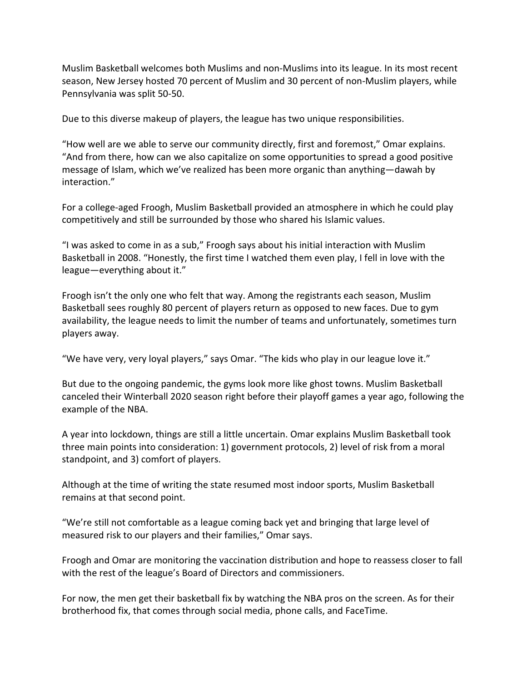Muslim Basketball welcomes both Muslims and non-Muslims into its league. In its most recent season, New Jersey hosted 70 percent of Muslim and 30 percent of non-Muslim players, while Pennsylvania was split 50-50.

Due to this diverse makeup of players, the league has two unique responsibilities.

"How well are we able to serve our community directly, first and foremost," Omar explains. "And from there, how can we also capitalize on some opportunities to spread a good positive message of Islam, which we've realized has been more organic than anything—dawah by interaction."

For a college-aged Froogh, Muslim Basketball provided an atmosphere in which he could play competitively and still be surrounded by those who shared his Islamic values.

"I was asked to come in as a sub," Froogh says about his initial interaction with Muslim Basketball in 2008. "Honestly, the first time I watched them even play, I fell in love with the league—everything about it."

Froogh isn't the only one who felt that way. Among the registrants each season, Muslim Basketball sees roughly 80 percent of players return as opposed to new faces. Due to gym availability, the league needs to limit the number of teams and unfortunately, sometimes turn players away.

"We have very, very loyal players," says Omar. "The kids who play in our league love it."

But due to the ongoing pandemic, the gyms look more like ghost towns. Muslim Basketball canceled their Winterball 2020 season right before their playoff games a year ago, following the example of the NBA.

A year into lockdown, things are still a little uncertain. Omar explains Muslim Basketball took three main points into consideration: 1) government protocols, 2) level of risk from a moral standpoint, and 3) comfort of players.

Although at the time of writing the state resumed most indoor sports, Muslim Basketball remains at that second point.

"We're still not comfortable as a league coming back yet and bringing that large level of measured risk to our players and their families," Omar says.

Froogh and Omar are monitoring the vaccination distribution and hope to reassess closer to fall with the rest of the league's Board of Directors and commissioners.

For now, the men get their basketball fix by watching the NBA pros on the screen. As for their brotherhood fix, that comes through social media, phone calls, and FaceTime.